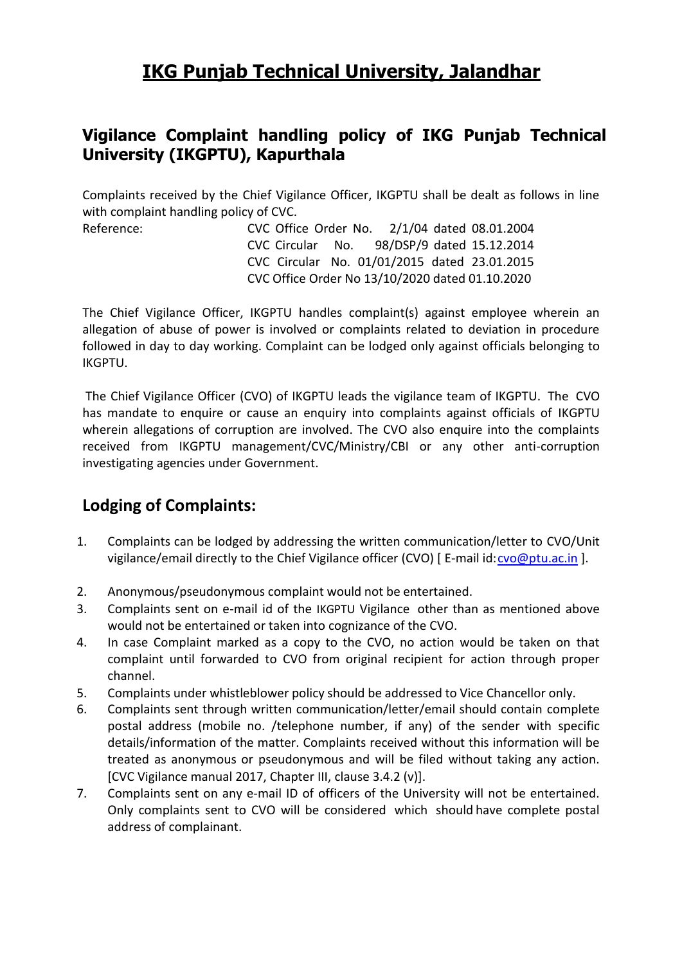# **IKG Punjab Technical University, Jalandhar**

## **Vigilance Complaint handling policy of IKG Punjab Technical University (IKGPTU), Kapurthala**

Complaints received by the Chief Vigilance Officer, IKGPTU shall be dealt as follows in line with complaint handling policy of CVC.

Reference: CVC Office Order No. 2/1/04 dated 08.01.2004 CVC Circular No. 98/DSP/9 dated 15.12.2014 CVC Circular No. 01/01/2015 dated 23.01.2015 CVC Office Order No 13/10/2020 dated 01.10.2020

The Chief Vigilance Officer, IKGPTU handles complaint(s) against employee wherein an allegation of abuse of power is involved or complaints related to deviation in procedure followed in day to day working. Complaint can be lodged only against officials belonging to IKGPTU.

The Chief Vigilance Officer (CVO) of IKGPTU leads the vigilance team of IKGPTU. The CVO has mandate to enquire or cause an enquiry into complaints against officials of IKGPTU wherein allegations of corruption are involved. The CVO also enquire into the complaints received from IKGPTU management/CVC/Ministry/CBI or any other anti-corruption investigating agencies under Government.

## **Lodging of Complaints:**

- 1. Complaints can be lodged by addressing the written communication/letter to CVO/Unit vigilance/email directly to the Chief Vigilance officer (CVO) [ E-mail id[: cvo@ptu.ac.in](mailto:cvo@ptu.ac.in) ].
- 2. Anonymous/pseudonymous complaint would not be entertained.
- 3. Complaints sent on e-mail id of the IKGPTU Vigilance other than as mentioned above would not be entertained or taken into cognizance of the CVO.
- 4. In case Complaint marked as a copy to the CVO, no action would be taken on that complaint until forwarded to CVO from original recipient for action through proper channel.
- 5. Complaints under whistleblower policy should be addressed to Vice Chancellor only.
- 6. Complaints sent through written communication/letter/email should contain complete postal address (mobile no. /telephone number, if any) of the sender with specific details/information of the matter. Complaints received without this information will be treated as anonymous or pseudonymous and will be filed without taking any action. [CVC Vigilance manual 2017, Chapter III, clause 3.4.2 (v)].
- 7. Complaints sent on any e-mail ID of officers of the University will not be entertained. Only complaints sent to CVO will be considered which should have complete postal address of complainant.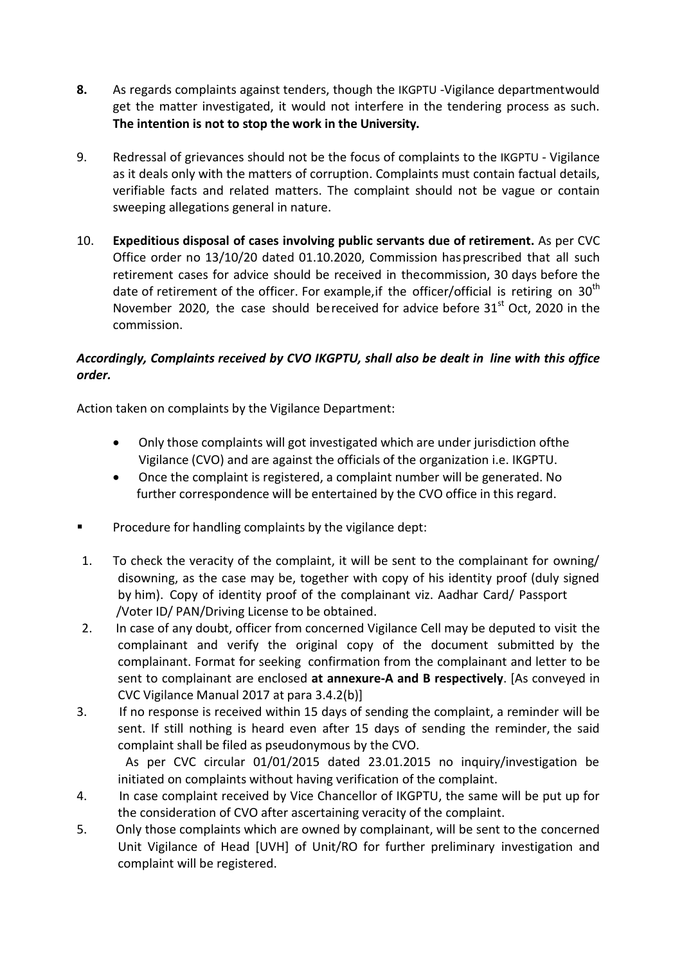- **8.** As regards complaints against tenders, though the IKGPTU -Vigilance departmentwould get the matter investigated, it would not interfere in the tendering process as such. **The intention is not to stop the work in the University.**
- 9. Redressal of grievances should not be the focus of complaints to the IKGPTU Vigilance as it deals only with the matters of corruption. Complaints must contain factual details, verifiable facts and related matters. The complaint should not be vague or contain sweeping allegations general in nature.
- 10. **Expeditious disposal of cases involving public servants due of retirement.** As per CVC Office order no 13/10/20 dated 01.10.2020, Commission hasprescribed that all such retirement cases for advice should be received in thecommission, 30 days before the date of retirement of the officer. For example, if the officer/official is retiring on  $30<sup>th</sup>$ November 2020, the case should bereceived for advice before  $31<sup>st</sup>$  Oct, 2020 in the commission.

## *Accordingly, Complaints received by CVO IKGPTU, shall also be dealt in line with this office order.*

Action taken on complaints by the Vigilance Department:

- Only those complaints will got investigated which are under jurisdiction ofthe Vigilance (CVO) and are against the officials of the organization i.e. IKGPTU.
- Once the complaint is registered, a complaint number will be generated. No further correspondence will be entertained by the CVO office in this regard.
- **Procedure for handling complaints by the vigilance dept:**
- 1. To check the veracity of the complaint, it will be sent to the complainant for owning/ disowning, as the case may be, together with copy of his identity proof (duly signed by him). Copy of identity proof of the complainant viz. Aadhar Card/ Passport /Voter ID/ PAN/Driving License to be obtained.
- 2. In case of any doubt, officer from concerned Vigilance Cell may be deputed to visit the complainant and verify the original copy of the document submitted by the complainant. Format for seeking confirmation from the complainant and letter to be sent to complainant are enclosed **at annexure-A and B respectively**. [As conveyed in CVC Vigilance Manual 2017 at para 3.4.2(b)]
- 3. If no response is received within 15 days of sending the complaint, a reminder will be sent. If still nothing is heard even after 15 days of sending the reminder, the said complaint shall be filed as pseudonymous by the CVO.

 As per CVC circular 01/01/2015 dated 23.01.2015 no inquiry/investigation be initiated on complaints without having verification of the complaint.

- 4. In case complaint received by Vice Chancellor of IKGPTU, the same will be put up for the consideration of CVO after ascertaining veracity of the complaint.
- 5. Only those complaints which are owned by complainant, will be sent to the concerned Unit Vigilance of Head [UVH] of Unit/RO for further preliminary investigation and complaint will be registered.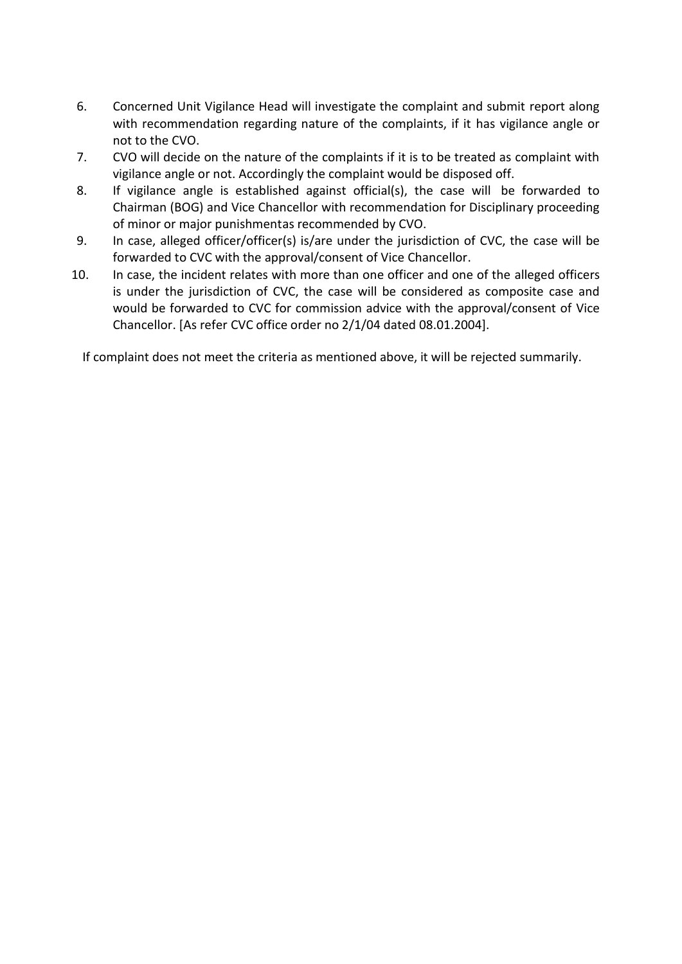- 6. Concerned Unit Vigilance Head will investigate the complaint and submit report along with recommendation regarding nature of the complaints, if it has vigilance angle or not to the CVO.
- 7. CVO will decide on the nature of the complaints if it is to be treated as complaint with vigilance angle or not. Accordingly the complaint would be disposed off.
- 8. If vigilance angle is established against official(s), the case will be forwarded to Chairman (BOG) and Vice Chancellor with recommendation for Disciplinary proceeding of minor or major punishmentas recommended by CVO.
- 9. In case, alleged officer/officer(s) is/are under the jurisdiction of CVC, the case will be forwarded to CVC with the approval/consent of Vice Chancellor.
- 10. In case, the incident relates with more than one officer and one of the alleged officers is under the jurisdiction of CVC, the case will be considered as composite case and would be forwarded to CVC for commission advice with the approval/consent of Vice Chancellor. [As refer CVC office order no 2/1/04 dated 08.01.2004].

If complaint does not meet the criteria as mentioned above, it will be rejected summarily.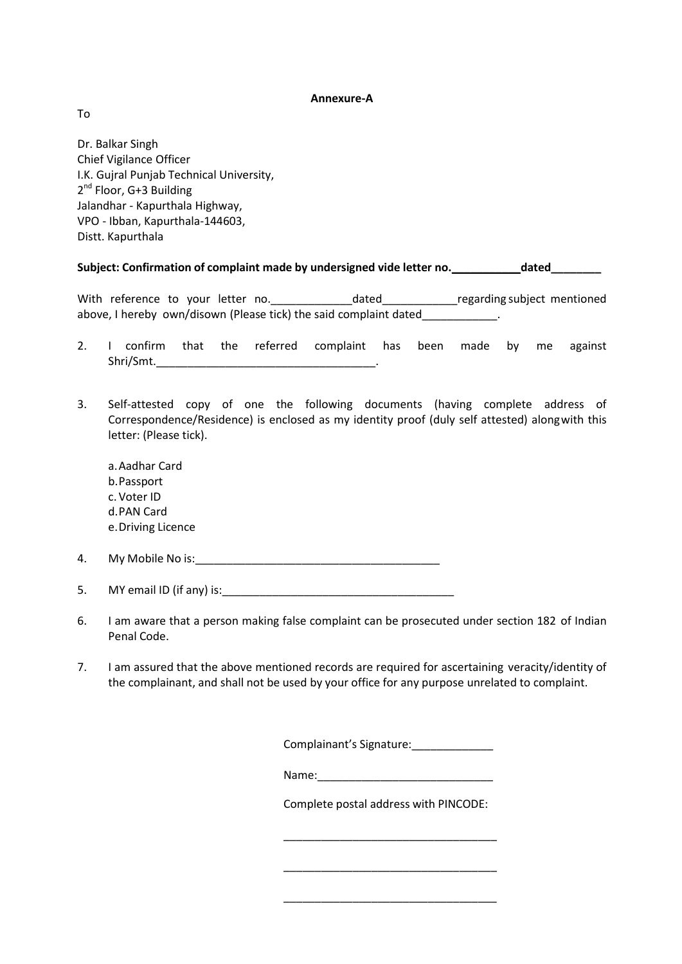#### **Annexure-A**

To

Dr. Balkar Singh Chief Vigilance Officer I.K. Gujral Punjab Technical University, 2<sup>nd</sup> Floor, G+3 Building Jalandhar - Kapurthala Highway, VPO - Ibban, Kapurthala-144603, Distt. Kapurthala

#### **Subject: Confirmation of complaint made by undersigned vide letter no.\_\_\_\_\_\_\_\_\_\_\_dated\_\_\_\_\_\_\_\_**

With reference to your letter no. \_\_\_\_\_\_\_\_\_\_\_\_\_\_\_dated\_\_\_\_\_\_\_\_\_\_\_\_\_\_regarding subject mentioned above, I hereby own/disown (Please tick) the said complaint dated\_\_\_\_\_\_\_\_\_\_\_\_\_.

- 2. I confirm that the referred complaint has been made by me against Shri/Smt.
- 3. Self-attested copy of one the following documents (having complete address of Correspondence/Residence) is enclosed as my identity proof (duly self attested) alongwith this letter: (Please tick).
	- a.Aadhar Card b.Passport c.Voter ID d.PAN Card e.Driving Licence
- 4. My Mobile No is:\_\_\_\_\_\_\_\_\_\_\_\_\_\_\_\_\_\_\_\_\_\_\_\_\_\_\_\_\_\_\_\_\_\_\_\_\_\_\_

5. MY email ID (if any) is:

- 6. I am aware that a person making false complaint can be prosecuted under section 182 of Indian Penal Code.
- 7. I am assured that the above mentioned records are required for ascertaining veracity/identity of the complainant, and shall not be used by your office for any purpose unrelated to complaint.

Complainant's Signature:

Complete postal address with PINCODE:

\_\_\_\_\_\_\_\_\_\_\_\_\_\_\_\_\_\_\_\_\_\_\_\_\_\_\_\_\_\_\_\_\_\_

\_\_\_\_\_\_\_\_\_\_\_\_\_\_\_\_\_\_\_\_\_\_\_\_\_\_\_\_\_\_\_\_\_\_

\_\_\_\_\_\_\_\_\_\_\_\_\_\_\_\_\_\_\_\_\_\_\_\_\_\_\_\_\_\_\_\_\_\_